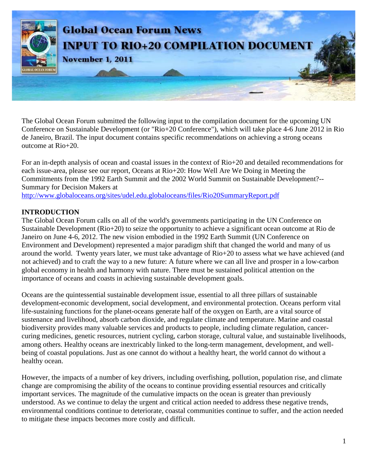

The Global Ocean Forum submitted the following input to the compilation document for the upcoming UN Conference on Sustainable Development (or "Rio+20 Conference"), which will take place 4-6 June 2012 in Rio de Janeiro, Brazil. The input document contains specific recommendations on achieving a strong oceans outcome at Rio+20.

For an in-depth analysis of ocean and coastal issues in the context of Rio+20 and detailed recommendations for each issue-area, please see our report, Oceans at Rio+20: How Well Are We Doing in Meeting the Commitments from the 1992 Earth Summit and the 2002 World Summit on Sustainable Development?-- Summary for Decision Makers at

<http://www.globaloceans.org/sites/udel.edu.globaloceans/files/Rio20SummaryReport.pdf>

#### **INTRODUCTION**

The Global Ocean Forum calls on all of the world's governments participating in the UN Conference on Sustainable Development (Rio+20) to seize the opportunity to achieve a significant ocean outcome at Rio de Janeiro on June 4-6, 2012. The new vision embodied in the 1992 Earth Summit (UN Conference on Environment and Development) represented a major paradigm shift that changed the world and many of us around the world. Twenty years later, we must take advantage of Rio+20 to assess what we have achieved (and not achieved) and to craft the way to a new future: A future where we can all live and prosper in a low-carbon global economy in health and harmony with nature. There must be sustained political attention on the importance of oceans and coasts in achieving sustainable development goals.

Oceans are the quintessential sustainable development issue, essential to all three pillars of sustainable development-economic development, social development, and environmental protection. Oceans perform vital life-sustaining functions for the planet-oceans generate half of the oxygen on Earth, are a vital source of sustenance and livelihood, absorb carbon dioxide, and regulate climate and temperature. Marine and coastal biodiversity provides many valuable services and products to people, including climate regulation, cancercuring medicines, genetic resources, nutrient cycling, carbon storage, cultural value, and sustainable livelihoods, among others. Healthy oceans are inextricably linked to the long-term management, development, and wellbeing of coastal populations. Just as one cannot do without a healthy heart, the world cannot do without a healthy ocean.

However, the impacts of a number of key drivers, including overfishing, pollution, population rise, and climate change are compromising the ability of the oceans to continue providing essential resources and critically important services. The magnitude of the cumulative impacts on the ocean is greater than previously understood. As we continue to delay the urgent and critical action needed to address these negative trends, environmental conditions continue to deteriorate, coastal communities continue to suffer, and the action needed to mitigate these impacts becomes more costly and difficult.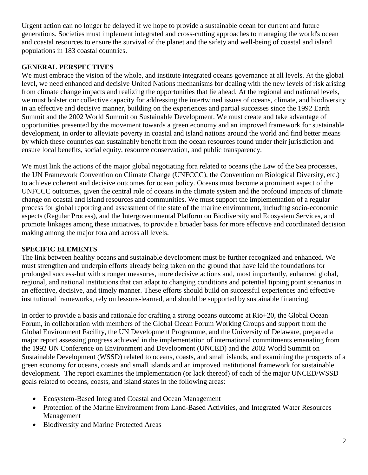Urgent action can no longer be delayed if we hope to provide a sustainable ocean for current and future generations. Societies must implement integrated and cross-cutting approaches to managing the world's ocean and coastal resources to ensure the survival of the planet and the safety and well-being of coastal and island populations in 183 coastal countries.

### **GENERAL PERSPECTIVES**

We must embrace the vision of the whole, and institute integrated oceans governance at all levels. At the global level, we need enhanced and decisive United Nations mechanisms for dealing with the new levels of risk arising from climate change impacts and realizing the opportunities that lie ahead. At the regional and national levels, we must bolster our collective capacity for addressing the intertwined issues of oceans, climate, and biodiversity in an effective and decisive manner, building on the experiences and partial successes since the 1992 Earth Summit and the 2002 World Summit on Sustainable Development. We must create and take advantage of opportunities presented by the movement towards a green economy and an improved framework for sustainable development, in order to alleviate poverty in coastal and island nations around the world and find better means by which these countries can sustainably benefit from the ocean resources found under their jurisdiction and ensure local benefits, social equity, resource conservation, and public transparency.

We must link the actions of the major global negotiating fora related to oceans (the Law of the Sea processes, the UN Framework Convention on Climate Change (UNFCCC), the Convention on Biological Diversity, etc.) to achieve coherent and decisive outcomes for ocean policy. Oceans must become a prominent aspect of the UNFCCC outcomes, given the central role of oceans in the climate system and the profound impacts of climate change on coastal and island resources and communities. We must support the implementation of a regular process for global reporting and assessment of the state of the marine environment, including socio-economic aspects (Regular Process), and the Intergovernmental Platform on Biodiversity and Ecosystem Services, and promote linkages among these initiatives, to provide a broader basis for more effective and coordinated decision making among the major fora and across all levels.

#### **SPECIFIC ELEMENTS**

The link between healthy oceans and sustainable development must be further recognized and enhanced. We must strengthen and underpin efforts already being taken on the ground that have laid the foundations for prolonged success-but with stronger measures, more decisive actions and, most importantly, enhanced global, regional, and national institutions that can adapt to changing conditions and potential tipping point scenarios in an effective, decisive, and timely manner. These efforts should build on successful experiences and effective institutional frameworks, rely on lessons-learned, and should be supported by sustainable financing.

In order to provide a basis and rationale for crafting a strong oceans outcome at Rio+20, the Global Ocean Forum, in collaboration with members of the Global Ocean Forum Working Groups and support from the Global Environment Facility, the UN Development Programme, and the University of Delaware, prepared a major report assessing progress achieved in the implementation of international commitments emanating from the 1992 UN Conference on Environment and Development (UNCED) and the 2002 World Summit on Sustainable Development (WSSD) related to oceans, coasts, and small islands, and examining the prospects of a green economy for oceans, coasts and small islands and an improved institutional framework for sustainable development. The report examines the implementation (or lack thereof) of each of the major UNCED/WSSD goals related to oceans, coasts, and island states in the following areas:

- Ecosystem-Based Integrated Coastal and Ocean Management
- Protection of the Marine Environment from Land-Based Activities, and Integrated Water Resources Management
- Biodiversity and Marine Protected Areas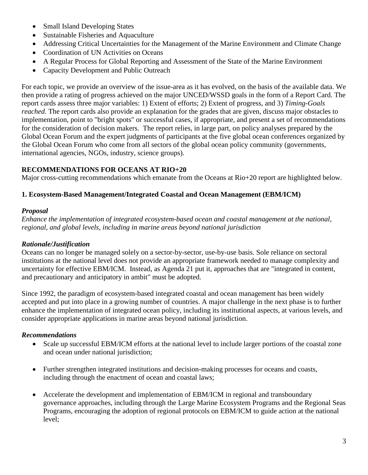- Small Island Developing States
- Sustainable Fisheries and Aquaculture
- Addressing Critical Uncertainties for the Management of the Marine Environment and Climate Change
- Coordination of UN Activities on Oceans
- A Regular Process for Global Reporting and Assessment of the State of the Marine Environment
- Capacity Development and Public Outreach

For each topic, we provide an overview of the issue-area as it has evolved, on the basis of the available data. We then provide a rating of progress achieved on the major UNCED/WSSD goals in the form of a Report Card. The report cards assess three major variables: 1) Extent of efforts; 2) Extent of progress, and 3) *Timing-Goals reached*. The report cards also provide an explanation for the grades that are given, discuss major obstacles to implementation, point to "bright spots" or successful cases, if appropriate, and present a set of recommendations for the consideration of decision makers. The report relies, in large part, on policy analyses prepared by the Global Ocean Forum and the expert judgments of participants at the five global ocean conferences organized by the Global Ocean Forum who come from all sectors of the global ocean policy community (governments, international agencies, NGOs, industry, science groups).

# **RECOMMENDATIONS FOR OCEANS AT RIO+20**

Major cross-cutting recommendations which emanate from the Oceans at Rio+20 report are highlighted below.

# **1. Ecosystem-Based Management/Integrated Coastal and Ocean Management (EBM/ICM)**

### *Proposal*

*Enhance the implementation of integrated ecosystem-based ocean and coastal management at the national, regional, and global levels, including in marine areas beyond national jurisdiction*

# *Rationale/Justification*

Oceans can no longer be managed solely on a sector-by-sector, use-by-use basis. Sole reliance on sectoral institutions at the national level does not provide an appropriate framework needed to manage complexity and uncertainty for effective EBM/ICM. Instead, as Agenda 21 put it, approaches that are "integrated in content, and precautionary and anticipatory in ambit" must be adopted.

Since 1992, the paradigm of ecosystem-based integrated coastal and ocean management has been widely accepted and put into place in a growing number of countries. A major challenge in the next phase is to further enhance the implementation of integrated ocean policy, including its institutional aspects, at various levels, and consider appropriate applications in marine areas beyond national jurisdiction.

# *Recommendations*

- Scale up successful EBM/ICM efforts at the national level to include larger portions of the coastal zone and ocean under national jurisdiction;
- Further strengthen integrated institutions and decision-making processes for oceans and coasts, including through the enactment of ocean and coastal laws;
- Accelerate the development and implementation of EBM/ICM in regional and transboundary governance approaches, including through the Large Marine Ecosystem Programs and the Regional Seas Programs, encouraging the adoption of regional protocols on EBM/ICM to guide action at the national level;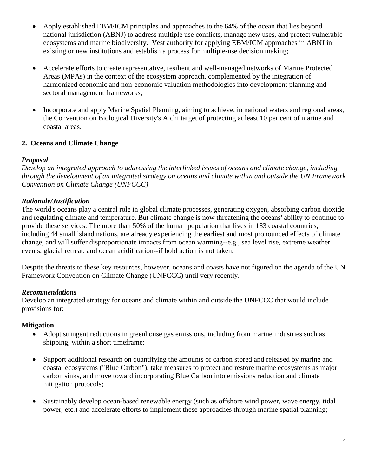- Apply established EBM/ICM principles and approaches to the 64% of the ocean that lies beyond national jurisdiction (ABNJ) to address multiple use conflicts, manage new uses, and protect vulnerable ecosystems and marine biodiversity. Vest authority for applying EBM/ICM approaches in ABNJ in existing or new institutions and establish a process for multiple-use decision making;
- Accelerate efforts to create representative, resilient and well-managed networks of Marine Protected Areas (MPAs) in the context of the ecosystem approach, complemented by the integration of harmonized economic and non-economic valuation methodologies into development planning and sectoral management frameworks;
- Incorporate and apply Marine Spatial Planning, aiming to achieve, in national waters and regional areas, the Convention on Biological Diversity's Aichi target of protecting at least 10 per cent of marine and coastal areas.

### **2. Oceans and Climate Change**

### *Proposal*

*Develop an integrated approach to addressing the interlinked issues of oceans and climate change, including through the development of an integrated strategy on oceans and climate within and outside the UN Framework Convention on Climate Change (UNFCCC)*

# *Rationale/Justification*

The world's oceans play a central role in global climate processes, generating oxygen, absorbing carbon dioxide and regulating climate and temperature. But climate change is now threatening the oceans' ability to continue to provide these services. The more than 50% of the human population that lives in 183 coastal countries, including 44 small island nations, are already experiencing the earliest and most pronounced effects of climate change, and will suffer disproportionate impacts from ocean warming--e.g., sea level rise, extreme weather events, glacial retreat, and ocean acidification--if bold action is not taken.

Despite the threats to these key resources, however, oceans and coasts have not figured on the agenda of the UN Framework Convention on Climate Change (UNFCCC) until very recently.

# *Recommendations*

Develop an integrated strategy for oceans and climate within and outside the UNFCCC that would include provisions for:

# **Mitigation**

- Adopt stringent reductions in greenhouse gas emissions, including from marine industries such as shipping, within a short timeframe;
- Support additional research on quantifying the amounts of carbon stored and released by marine and coastal ecosystems ("Blue Carbon"), take measures to protect and restore marine ecosystems as major carbon sinks, and move toward incorporating Blue Carbon into emissions reduction and climate mitigation protocols;
- Sustainably develop ocean-based renewable energy (such as offshore wind power, wave energy, tidal power, etc.) and accelerate efforts to implement these approaches through marine spatial planning;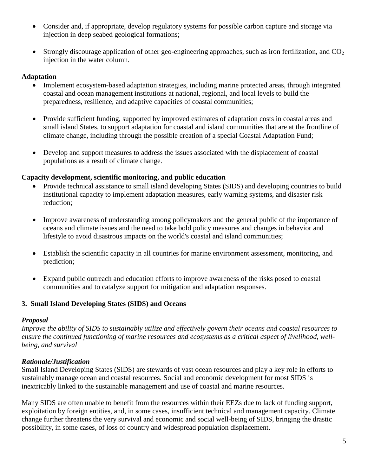- Consider and, if appropriate, develop regulatory systems for possible carbon capture and storage via injection in deep seabed geological formations;
- Strongly discourage application of other geo-engineering approaches, such as iron fertilization, and  $CO<sub>2</sub>$ injection in the water column.

### **Adaptation**

- Implement ecosystem-based adaptation strategies, including marine protected areas, through integrated coastal and ocean management institutions at national, regional, and local levels to build the preparedness, resilience, and adaptive capacities of coastal communities;
- Provide sufficient funding, supported by improved estimates of adaptation costs in coastal areas and small island States, to support adaptation for coastal and island communities that are at the frontline of climate change, including through the possible creation of a special Coastal Adaptation Fund;
- Develop and support measures to address the issues associated with the displacement of coastal populations as a result of climate change.

#### **Capacity development, scientific monitoring, and public education**

- Provide technical assistance to small island developing States (SIDS) and developing countries to build institutional capacity to implement adaptation measures, early warning systems, and disaster risk reduction;
- Improve awareness of understanding among policymakers and the general public of the importance of oceans and climate issues and the need to take bold policy measures and changes in behavior and lifestyle to avoid disastrous impacts on the world's coastal and island communities;
- Establish the scientific capacity in all countries for marine environment assessment, monitoring, and prediction;
- Expand public outreach and education efforts to improve awareness of the risks posed to coastal communities and to catalyze support for mitigation and adaptation responses.

### **3. Small Island Developing States (SIDS) and Oceans**

#### *Proposal*

*Improve the ability of SIDS to sustainably utilize and effectively govern their oceans and coastal resources to ensure the continued functioning of marine resources and ecosystems as a critical aspect of livelihood, wellbeing, and survival* 

### *Rationale/Justification*

Small Island Developing States (SIDS) are stewards of vast ocean resources and play a key role in efforts to sustainably manage ocean and coastal resources. Social and economic development for most SIDS is inextricably linked to the sustainable management and use of coastal and marine resources.

Many SIDS are often unable to benefit from the resources within their EEZs due to lack of funding support, exploitation by foreign entities, and, in some cases, insufficient technical and management capacity. Climate change further threatens the very survival and economic and social well-being of SIDS, bringing the drastic possibility, in some cases, of loss of country and widespread population displacement.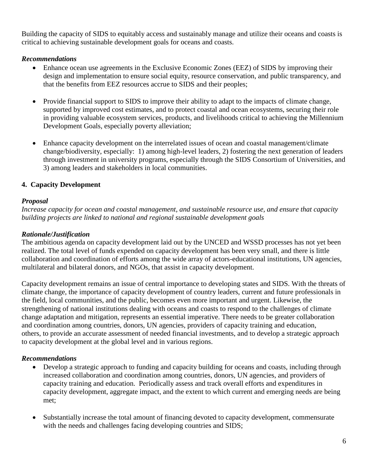Building the capacity of SIDS to equitably access and sustainably manage and utilize their oceans and coasts is critical to achieving sustainable development goals for oceans and coasts.

#### *Recommendations*

- Enhance ocean use agreements in the Exclusive Economic Zones (EEZ) of SIDS by improving their design and implementation to ensure social equity, resource conservation, and public transparency, and that the benefits from EEZ resources accrue to SIDS and their peoples;
- Provide financial support to SIDS to improve their ability to adapt to the impacts of climate change, supported by improved cost estimates, and to protect coastal and ocean ecosystems, securing their role in providing valuable ecosystem services, products, and livelihoods critical to achieving the Millennium Development Goals, especially poverty alleviation;
- Enhance capacity development on the interrelated issues of ocean and coastal management/climate change/biodiversity, especially: 1) among high-level leaders, 2) fostering the next generation of leaders through investment in university programs, especially through the SIDS Consortium of Universities, and 3) among leaders and stakeholders in local communities.

## **4. Capacity Development**

### *Proposal*

*Increase capacity for ocean and coastal management, and sustainable resource use, and ensure that capacity building projects are linked to national and regional sustainable development goals* 

## *Rationale/Justification*

The ambitious agenda on capacity development laid out by the UNCED and WSSD processes has not yet been realized. The total level of funds expended on capacity development has been very small, and there is little collaboration and coordination of efforts among the wide array of actors-educational institutions, UN agencies, multilateral and bilateral donors, and NGOs, that assist in capacity development.

Capacity development remains an issue of central importance to developing states and SIDS. With the threats of climate change, the importance of capacity development of country leaders, current and future professionals in the field, local communities, and the public, becomes even more important and urgent. Likewise, the strengthening of national institutions dealing with oceans and coasts to respond to the challenges of climate change adaptation and mitigation, represents an essential imperative. There needs to be greater collaboration and coordination among countries, donors, UN agencies, providers of capacity training and education, others, to provide an accurate assessment of needed financial investments, and to develop a strategic approach to capacity development at the global level and in various regions.

### *Recommendations*

- Develop a strategic approach to funding and capacity building for oceans and coasts, including through increased collaboration and coordination among countries, donors, UN agencies, and providers of capacity training and education. Periodically assess and track overall efforts and expenditures in capacity development, aggregate impact, and the extent to which current and emerging needs are being met;
- Substantially increase the total amount of financing devoted to capacity development, commensurate with the needs and challenges facing developing countries and SIDS;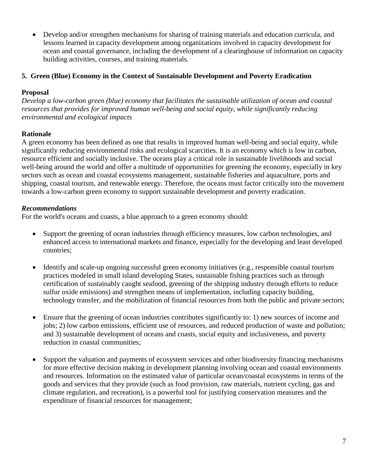• Develop and/or strengthen mechanisms for sharing of training materials and education curricula, and lessons learned in capacity development among organizations involved in capacity development for ocean and coastal governance, including the development of a clearinghouse of information on capacity building activities, courses, and training materials.

### **5. Green (Blue) Economy in the Context of Sustainable Development and Poverty Eradication**

#### **Proposal**

*Develop a low-carbon green (blue) economy that facilitates the sustainable utilization of ocean and coastal resources that provides for improved human well-being and social equity, while significantly reducing environmental and ecological impacts*

### **Rationale**

A green economy has been defined as one that results in improved human well-being and social equity, while significantly reducing environmental risks and ecological scarcities. It is an economy which is low in carbon, resource efficient and socially inclusive. The oceans play a critical role in sustainable livelihoods and social well-being around the world and offer a multitude of opportunities for greening the economy, especially in key sectors such as ocean and coastal ecosystems management, sustainable fisheries and aquaculture, ports and shipping, coastal tourism, and renewable energy. Therefore, the oceans must factor critically into the movement towards a low-carbon green economy to support sustainable development and poverty eradication.

### *Recommendations*

For the world's oceans and coasts, a blue approach to a green economy should:

- Support the greening of ocean industries through efficiency measures, low carbon technologies, and enhanced access to international markets and finance, especially for the developing and least developed countries;
- Identify and scale-up ongoing successful green economy initiatives (e.g., responsible coastal tourism practices modeled in small island developing States, sustainable fishing practices such as through certification of sustainably caught seafood, greening of the shipping industry through efforts to reduce sulfur oxide emissions) and strengthen means of implementation, including capacity building, technology transfer, and the mobilization of financial resources from both the public and private sectors;
- Ensure that the greening of ocean industries contributes significantly to: 1) new sources of income and jobs; 2) low carbon emissions, efficient use of resources, and reduced production of waste and pollution; and 3) sustainable development of oceans and coasts, social equity and inclusiveness, and poverty reduction in coastal communities;
- Support the valuation and payments of ecosystem services and other biodiversity financing mechanisms for more effective decision making in development planning involving ocean and coastal environments and resources. Information on the estimated value of particular ocean/coastal ecosystems in terms of the goods and services that they provide (such as food provision, raw materials, nutrient cycling, gas and climate regulation, and recreation), is a powerful tool for justifying conservation measures and the expenditure of financial resources for management;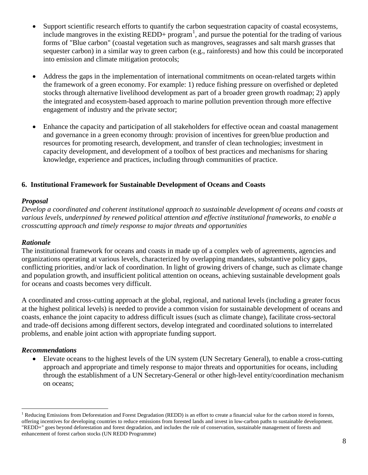- Support scientific research efforts to quantify the carbon sequestration capacity of coastal ecosystems, include mangroves in the existing  $REDD+ program<sup>1</sup>$  $REDD+ program<sup>1</sup>$  $REDD+ program<sup>1</sup>$ , and pursue the potential for the trading of various forms of "Blue carbon" (coastal vegetation such as mangroves, seagrasses and salt marsh grasses that sequester carbon) in a similar way to green carbon (e.g., rainforests) and how this could be incorporated into emission and climate mitigation protocols;
- Address the gaps in the implementation of international commitments on ocean-related targets within the framework of a green economy. For example: 1) reduce fishing pressure on overfished or depleted stocks through alternative livelihood development as part of a broader green growth roadmap; 2) apply the integrated and ecosystem-based approach to marine pollution prevention through more effective engagement of industry and the private sector;
- Enhance the capacity and participation of all stakeholders for effective ocean and coastal management and governance in a green economy through: provision of incentives for green/blue production and resources for promoting research, development, and transfer of clean technologies; investment in capacity development, and development of a toolbox of best practices and mechanisms for sharing knowledge, experience and practices, including through communities of practice.

### **6. Institutional Framework for Sustainable Development of Oceans and Coasts**

#### *Proposal*

*Develop a coordinated and coherent institutional approach to sustainable development of oceans and coasts at various levels, underpinned by renewed political attention and effective institutional frameworks, to enable a crosscutting approach and timely response to major threats and opportunities*

#### *Rationale*

The institutional framework for oceans and coasts in made up of a complex web of agreements, agencies and organizations operating at various levels, characterized by overlapping mandates, substantive policy gaps, conflicting priorities, and/or lack of coordination. In light of growing drivers of change, such as climate change and population growth, and insufficient political attention on oceans, achieving sustainable development goals for oceans and coasts becomes very difficult.

A coordinated and cross-cutting approach at the global, regional, and national levels (including a greater focus at the highest political levels) is needed to provide a common vision for sustainable development of oceans and coasts, enhance the joint capacity to address difficult issues (such as climate change), facilitate cross-sectoral and trade-off decisions among different sectors, develop integrated and coordinated solutions to interrelated problems, and enable joint action with appropriate funding support.

#### *Recommendations*

• Elevate oceans to the highest levels of the UN system (UN Secretary General), to enable a cross-cutting approach and appropriate and timely response to major threats and opportunities for oceans, including through the establishment of a UN Secretary-General or other high-level entity/coordination mechanism on oceans;

<span id="page-7-0"></span><sup>&</sup>lt;sup>1</sup> Reducing Emissions from Deforestation and Forest Degradation (REDD) is an effort to create a financial value for the carbon stored in forests, offering incentives for developing countries to reduce emissions from forested lands and invest in low-carbon paths to sustainable development. "REDD+" goes beyond deforestation and forest degradation, and includes the role of conservation, sustainable management of forests and enhancement of forest carbon stocks (UN REDD Programme)